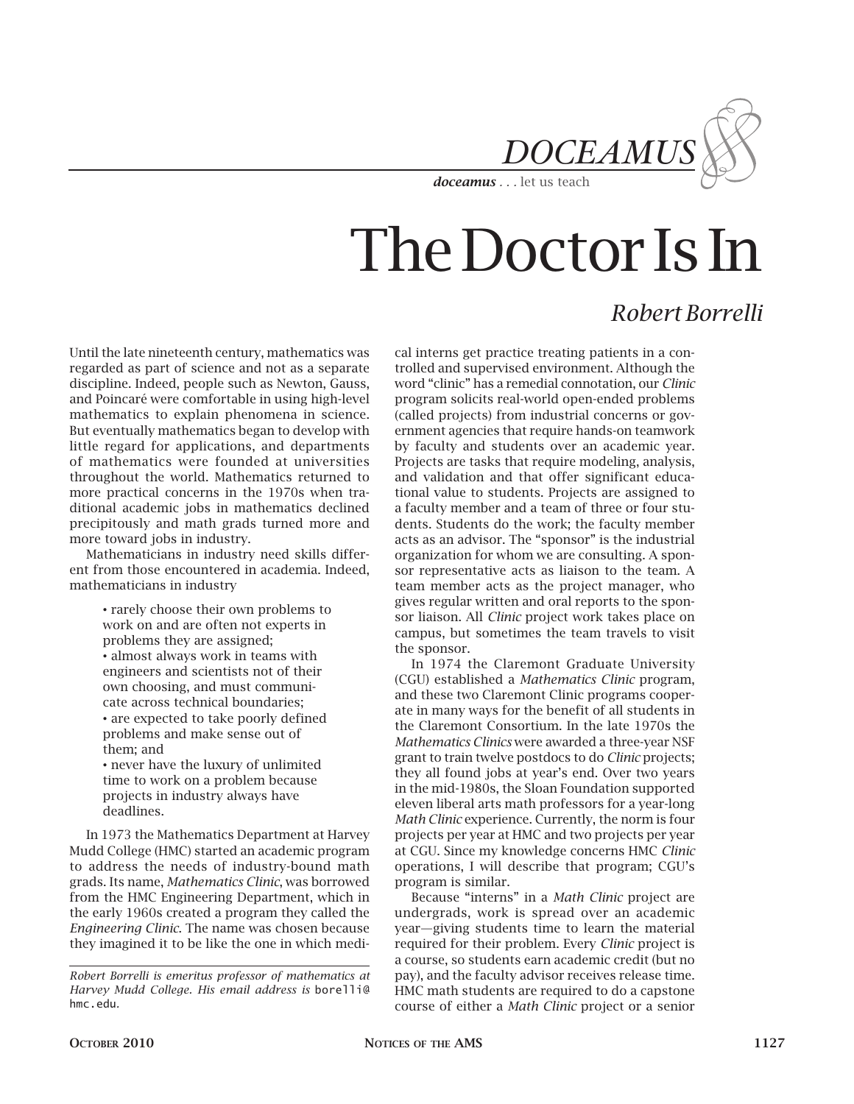

## The Doctor Is In

### *Robert Borrelli*

Until the late nineteenth century, mathematics was regarded as part of science and not as a separate discipline. Indeed, people such as Newton, Gauss, and Poincaré were comfortable in using high-level mathematics to explain phenomena in science. But eventually mathematics began to develop with little regard for applications, and departments of mathematics were founded at universities throughout the world. Mathematics returned to more practical concerns in the 1970s when traditional academic jobs in mathematics declined precipitously and math grads turned more and more toward jobs in industry.

Mathematicians in industry need skills different from those encountered in academia. Indeed, mathematicians in industry

> • rarely choose their own problems to work on and are often not experts in problems they are assigned; • almost always work in teams with engineers and scientists not of their own choosing, and must communicate across technical boundaries; • are expected to take poorly defined problems and make sense out of them; and

• never have the luxury of unlimited time to work on a problem because projects in industry always have deadlines.

In 1973 the Mathematics Department at Harvey Mudd College (HMC) started an academic program to address the needs of industry-bound math grads. Its name, *Mathematics Clinic*, was borrowed from the HMC Engineering Department, which in the early 1960s created a program they called the *Engineering Clinic*. The name was chosen because they imagined it to be like the one in which medi-

cal interns get practice treating patients in a controlled and supervised environment. Although the word "clinic" has a remedial connotation, our *Clinic*  program solicits real-world open-ended problems (called projects) from industrial concerns or government agencies that require hands-on teamwork by faculty and students over an academic year. Projects are tasks that require modeling, analysis, and validation and that offer significant educational value to students. Projects are assigned to a faculty member and a team of three or four students. Students do the work; the faculty member acts as an advisor. The "sponsor" is the industrial organization for whom we are consulting. A sponsor representative acts as liaison to the team. A team member acts as the project manager, who gives regular written and oral reports to the sponsor liaison. All *Clinic* project work takes place on campus, but sometimes the team travels to visit the sponsor.

In 1974 the Claremont Graduate University (CGU) established a *Mathematics Clinic* program, and these two Claremont Clinic programs cooperate in many ways for the benefit of all students in the Claremont Consortium. In the late 1970s the *Mathematics Clinics* were awarded a three-year NSF grant to train twelve postdocs to do *Clinic* projects; they all found jobs at year's end. Over two years in the mid-1980s, the Sloan Foundation supported eleven liberal arts math professors for a year-long *Math Clinic* experience. Currently, the norm is four projects per year at HMC and two projects per year at CGU. Since my knowledge concerns HMC *Clinic* operations, I will describe that program; CGU's program is similar.

Because "interns" in a *Math Clinic* project are undergrads, work is spread over an academic year—giving students time to learn the material required for their problem. Every *Clinic* project is a course, so students earn academic credit (but no pay), and the faculty advisor receives release time. HMC math students are required to do a capstone course of either a *Math Clinic* project or a senior

*Robert Borrelli is emeritus professor of mathematics at Harvey Mudd College. His email address is* borelli@ hmc.edu*.*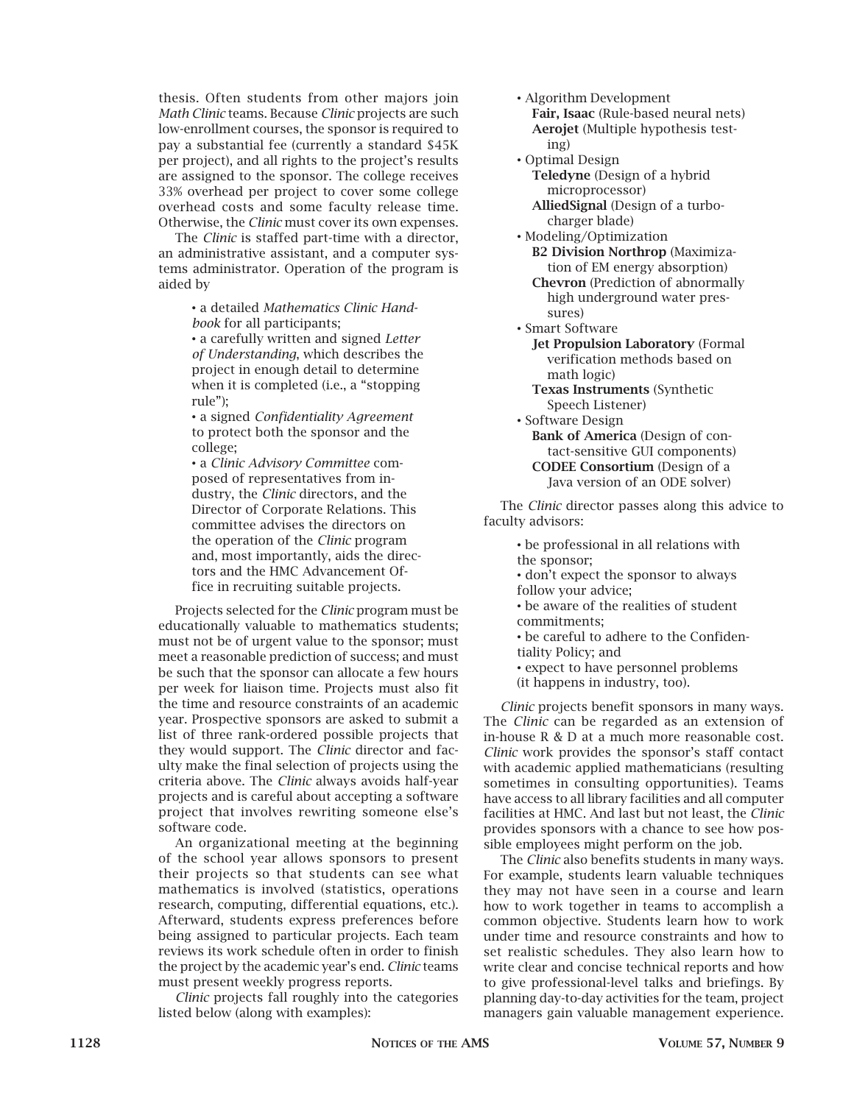thesis. Often students from other majors join *Math Clinic* teams. Because *Clinic* projects are such low-enrollment courses, the sponsor is required to pay a substantial fee (currently a standard \$45K per project), and all rights to the project's results are assigned to the sponsor. The college receives 33% overhead per project to cover some college overhead costs and some faculty release time. Otherwise, the *Clinic* must cover its own expenses.

The *Clinic* is staffed part-time with a director, an administrative assistant, and a computer systems administrator. Operation of the program is aided by

> • a detailed *Mathematics Clinic Handbook* for all participants;

• a carefully written and signed *Letter of Understanding*, which describes the project in enough detail to determine when it is completed (i.e., a "stopping rule");

• a signed *Confidentiality Agreement* to protect both the sponsor and the college;

• a *Clinic Advisory Committee* composed of representatives from industry, the *Clinic* directors, and the Director of Corporate Relations. This committee advises the directors on the operation of the *Clinic* program and, most importantly, aids the directors and the HMC Advancement Office in recruiting suitable projects.

Projects selected for the *Clinic* program must be educationally valuable to mathematics students; must not be of urgent value to the sponsor; must meet a reasonable prediction of success; and must be such that the sponsor can allocate a few hours per week for liaison time. Projects must also fit the time and resource constraints of an academic year. Prospective sponsors are asked to submit a list of three rank-ordered possible projects that they would support. The *Clinic* director and faculty make the final selection of projects using the criteria above. The *Clinic* always avoids half-year projects and is careful about accepting a software project that involves rewriting someone else's software code.

An organizational meeting at the beginning of the school year allows sponsors to present their projects so that students can see what mathematics is involved (statistics, operations research, computing, differential equations, etc.). Afterward, students express preferences before being assigned to particular projects. Each team reviews its work schedule often in order to finish the project by the academic year's end. *Clinic* teams must present weekly progress reports.

*Clinic* projects fall roughly into the categories listed below (along with examples):

- Algorithm Development **Fair, Isaac** (Rule-based neural nets) **Aerojet** (Multiple hypothesis test ing)
- Optimal Design **Teledyne** (Design of a hybrid microprocessor)

 **AlliedSignal** (Design of a turbo charger blade)

- Modeling/Optimization **B2 Division Northrop** (Maximiza tion of EM energy absorption) **Chevron** (Prediction of abnormally
	- high underground water pres sures)
- Smart Software
	- **Jet Propulsion Laboratory** (Formal verification methods based on math logic)
	- **Texas Instruments** (Synthetic Speech Listener)
- Software Design
	- **Bank of America** (Design of con tact-sensitive GUI components) **CODEE Consortium** (Design of a Java version of an ODE solver)

The *Clinic* director passes along this advice to faculty advisors:

- be professional in all relations with the sponsor;
- don't expect the sponsor to always follow your advice;
- be aware of the realities of student commitments;
- be careful to adhere to the Confidentiality Policy; and
- expect to have personnel problems (it happens in industry, too).

*Clinic* projects benefit sponsors in many ways. The *Clinic* can be regarded as an extension of in-house R & D at a much more reasonable cost. *Clinic* work provides the sponsor's staff contact with academic applied mathematicians (resulting sometimes in consulting opportunities). Teams have access to all library facilities and all computer facilities at HMC. And last but not least, the *Clinic*  provides sponsors with a chance to see how possible employees might perform on the job.

The *Clinic* also benefits students in many ways. For example, students learn valuable techniques they may not have seen in a course and learn how to work together in teams to accomplish a common objective. Students learn how to work under time and resource constraints and how to set realistic schedules. They also learn how to write clear and concise technical reports and how to give professional-level talks and briefings. By planning day-to-day activities for the team, project managers gain valuable management experience.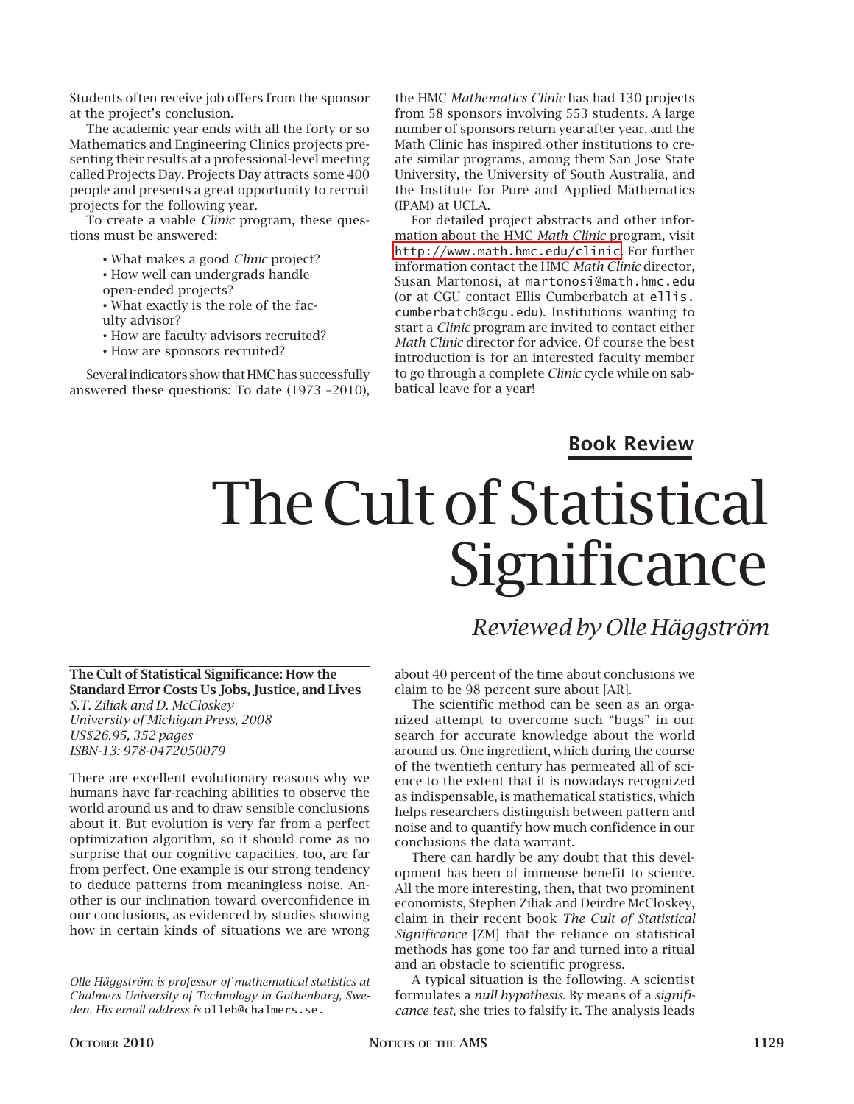Students often receive job offers from the sponsor at the project's conclusion.

The academic year ends with all the forty or so Mathematics and Engineering Clinics projects presenting their results at a professional-level meeting called Projects Day. Projects Day attracts some 400 people and presents a great opportunity to recruit projects for the following year.

To create a viable *Clinic* program, these questions must be answered:

• What makes a good *Clinic* project?

- How well can undergrads handle
- open-ended projects?
- What exactly is the role of the fac-
- ulty advisor?
- How are faculty advisors recruited?
- How are sponsors recruited?

Several indicators show that HMC has successfully answered these questions: To date (1973 –2010), the HMC *Mathematics Clinic* has had 130 projects from 58 sponsors involving 553 students. A large number of sponsors return year after year, and the Math Clinic has inspired other institutions to create similar programs, among them San Jose State University, the University of South Australia, and the Institute for Pure and Applied Mathematics (IPAM) at UCLA.

For detailed project abstracts and other information about the HMC *Math Clinic* program, visit <http://www.math.hmc.edu/clinic>. For further information contact the HMC *Math Clinic* director, Susan Martonosi, at martonosi@math.hmc.edu (or at CGU contact Ellis Cumberbatch at ellis. cumberbatch@cgu.edu). Institutions wanting to start a *Clinic* program are invited to contact either *Math Clinic* director for advice. Of course the best introduction is for an interested faculty member to go through a complete *Clinic* cycle while on sabbatical leave for a year!

### **Book Review**

*Reviewed by Olle Häggström*

# The Cult of Statistical **Significance**

#### **The Cult of Statistical Significance: How the Standard Error Costs Us Jobs, Justice, and Lives**  *S.T. Ziliak and D. McCloskey University of Michigan Press, 2008 US\$26.95, 352 pages ISBN-13: 978-0472050079*

There are excellent evolutionary reasons why we humans have far-reaching abilities to observe the world around us and to draw sensible conclusions about it. But evolution is very far from a perfect optimization algorithm, so it should come as no surprise that our cognitive capacities, too, are far from perfect. One example is our strong tendency to deduce patterns from meaningless noise. Another is our inclination toward overconfidence in our conclusions, as evidenced by studies showing how in certain kinds of situations we are wrong

about 40 percent of the time about conclusions we claim to be 98 percent sure about [AR].

The scientific method can be seen as an organized attempt to overcome such "bugs" in our search for accurate knowledge about the world around us. One ingredient, which during the course of the twentieth century has permeated all of science to the extent that it is nowadays recognized as indispensable, is mathematical statistics, which helps researchers distinguish between pattern and noise and to quantify how much confidence in our conclusions the data warrant.

There can hardly be any doubt that this development has been of immense benefit to science. All the more interesting, then, that two prominent economists, Stephen Ziliak and Deirdre McCloskey, claim in their recent book *The Cult of Statistical Significance* [ZM] that the reliance on statistical methods has gone too far and turned into a ritual and an obstacle to scientific progress.

A typical situation is the following. A scientist formulates a *null hypothesis*. By means of a *significance test*, she tries to falsify it. The analysis leads

*Olle Häggström is professor of mathematical statistics at Chalmers University of Technology in Gothenburg, Sweden. His email address is* olleh@chalmers.se.